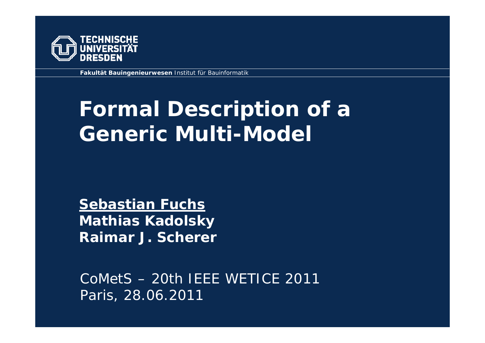

**Fakultät Bauingenieurwesen** Institut für Bauinformatik

# **Formal Description of a Generic Multi-Model**

**Sebastian Fuchs Mathias Kadolsky Raimar J. Scherer**

CoMetS – 20th IEEE WETICE 2011Paris, 28.06.2011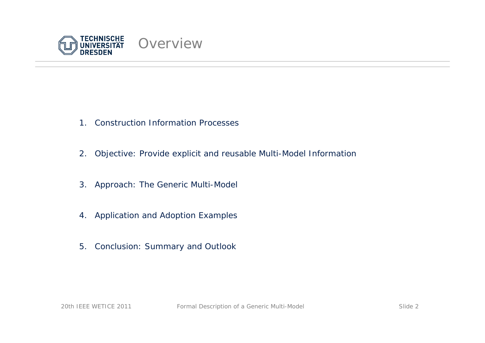

- 1. Construction Information Processes
- 2. Objective: Provide explicit and reusable Multi-Model Information
- 3. Approach: The Generic Multi-Model
- 4. Application and Adoption Examples
- 5. Conclusion: Summary and Outlook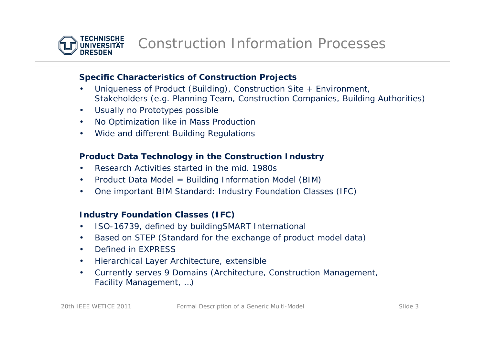

# **Specific Characteristics of Construction Projects**

- • Uniqueness of Product (Building), Construction Site + Environment, Stakeholders (e.g. Planning Team, Construction Companies, Building Authorities)
- •Usually no Prototypes possible
- •No Optimization like in Mass Production
- •Wide and different Building Regulations

# **Product Data Technology in the Construction Industry**

- •Research Activities started in the mid. 1980s
- •Product Data Model = Building Information Model (BIM)
- •One important BIM Standard: Industry Foundation Classes (IFC)

# **Industry Foundation Classes (IFC)**

- •ISO-16739, defined by buildingSMART International
- •Based on STEP (Standard for the exchange of product model data)
- •Defined in EXPRESS
- •Hierarchical Layer Architecture, extensible
- • Currently serves 9 Domains (Architecture, Construction Management, Facility Management, …)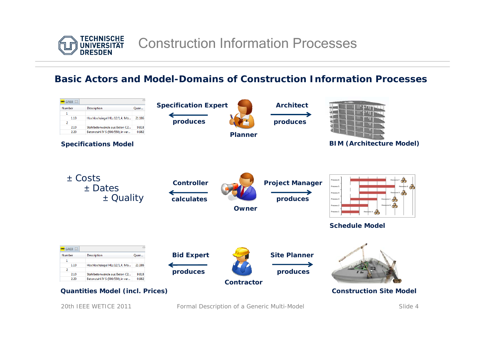

# **Basic Actors and Model-Domains of Construction Information Processes**

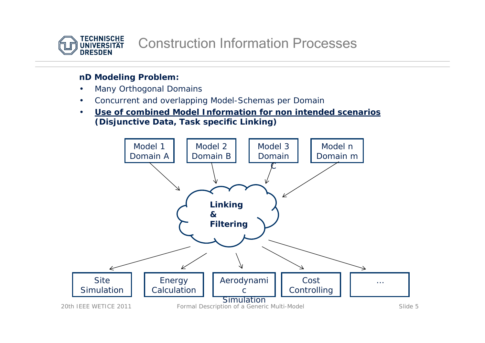

# **nD Modeling Problem:**

- •Many Orthogonal Domains
- •Concurrent and overlapping Model-Schemas per Domain
- • **Use of combined Model Information for non intended scenarios(Disjunctive Data, Task specific Linking)**

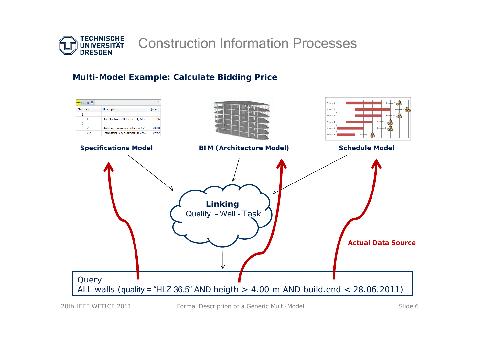

# Construction Information Processes

#### **Multi-Model Example: Calculate Bidding Price**

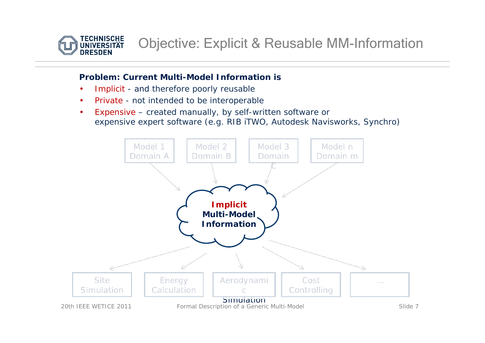

#### **Problem: Current Multi-Model Information is**

- •Implicit - and therefore poorly reusable
- •Private - not intended to be interoperable
- • Expensive – created manually, by self-written software or expensive expert software (e.g. RIB iTWO, Autodesk Navisworks, Synchro)

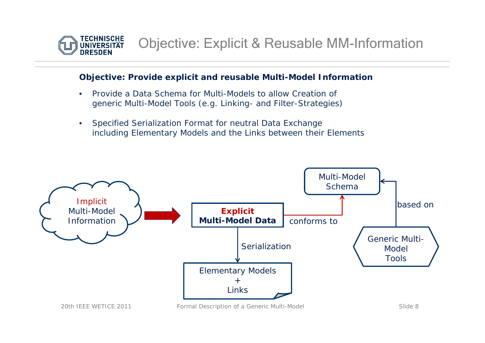

#### **Objective: Provide explicit and reusable Multi-Model Information**

- $\bullet$  Provide a Data Schema for Multi-Models to allow Creation ofgeneric Multi-Model Tools (e.g. Linking- and Filter-Strategies)
- • Specified Serialization Format for neutral Data Exchange including Elementary Models and the Links between their Elements

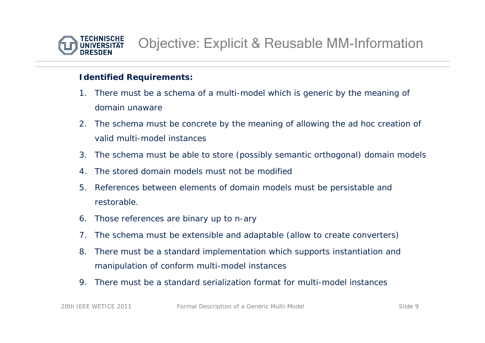

#### **Identified Requirements:**

- 1. There must be a schema of a multi-model which is generic by the meaning of domain unaware
- 2. The schema must be concrete by the meaning of allowing the ad hoc creation of valid multi-model instances
- 3. The schema must be able to store (possibly semantic orthogonal) domain models
- 4. The stored domain models must not be modified
- 5. References between elements of domain models must be persistable and restorable.
- 6. Those references are binary up to n-ary
- 7. The schema must be extensible and adaptable (allow to create converters)
- 8. There must be a standard implementation which supports instantiation and manipulation of conform multi-model instances
- 9. There must be a standard serialization format for multi-model instances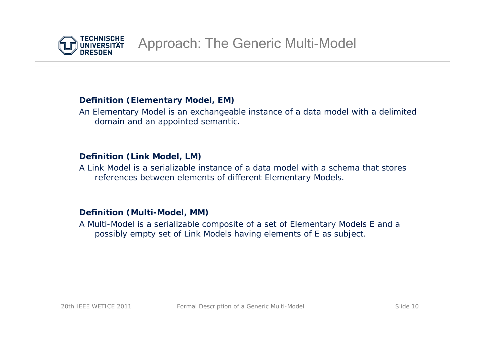

# **Definition (Elementary Model, EM)**

An Elementary Model is an exchangeable instance of a data model with a delimited domain and an appointed semantic.

### **Definition (Link Model, LM)**

A Link Model is a serializable instance of a data model with a schema that stores references between elements of different Elementary Models.

#### **Definition (Multi-Model, MM)**

A Multi-Model is a serializable composite of a set of Elementary Models *E* and a possibly empty set of Link Models having elements of *E* as subject.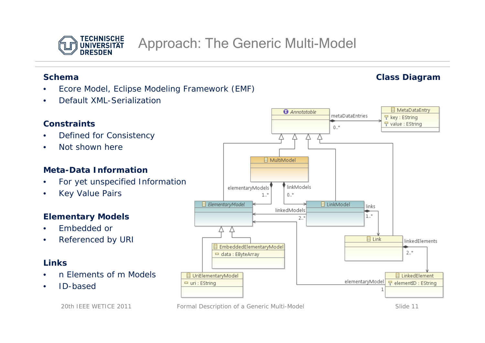

#### **Schema**

•

•

- •Ecore Model, Eclipse Modeling Framework (EMF)
- •Default XML-Serialization

# **Constraints** Defined for Consistency Not shown here

# **Meta-Data Information**

- •For yet unspecified Information
- •Key Value Pairs

# **Elementary Models**

- •Embedded or
- •Referenced by URI

# **Links**

- •n Elements of m Models
- •ID-based





20th IEEE WETICE 2011 Formal Description of a Generic Multi-Model Slide 11

# **Class Diagram**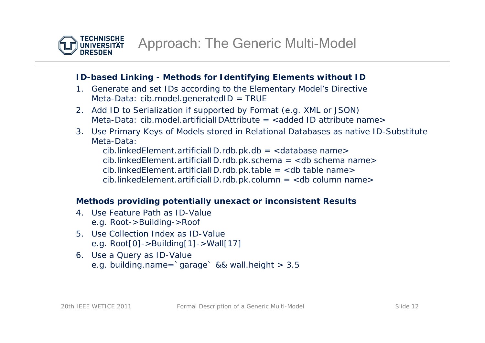

# **ID-based Linking - Methods for Identifying Elements without ID**

- 1. Generate and set IDs according to the Elementary Model's Directive Meta-Data: *cib.model.generatedID = TRUE*
- 2. Add ID to Serialization if supported by Format (e.g. XML or JSON) Meta-Data: *cib.model.artificialIDAttribute = <added ID attribute name>*
- 3. Use Primary Keys of Models stored in Relational Databases as native ID-Substitute Meta-Data:

*cib.linkedElement.artificialID.rdb.pk.db = <database name> cib.linkedElement.artificialID.rdb.pk.schema = <db schema name> cib.linkedElement.artificialID.rdb.pk.table = <db table name> cib.linkedElement.artificialID.rdb.pk.column = <db column name>*

# **Methods providing potentially unexact or inconsistent Results**

- 4. Use Feature Path as ID-Valuee.g. *Root->Building->Roof*
- 5. Use Collection Index as ID-Valuee.g. *Root[0]->Building[1]->Wall[17]*
- 6. Use a Query as ID-Value e.g. *building.name=`garage` && wall.height > 3.5*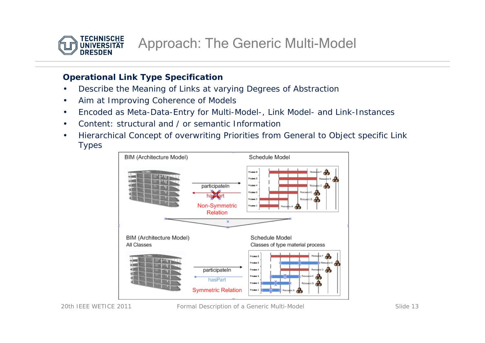

# **Operational Link Type Specification**

- •Describe the Meaning of Links at varying Degrees of Abstraction
- •Aim at Improving Coherence of Models
- •Encoded as Meta-Data-Entry for Multi-Model-, Link Model- and Link-Instances
- •Content: structural and / or semantic Information
- • Hierarchical Concept of overwriting Priorities from General to Object specific Link Types

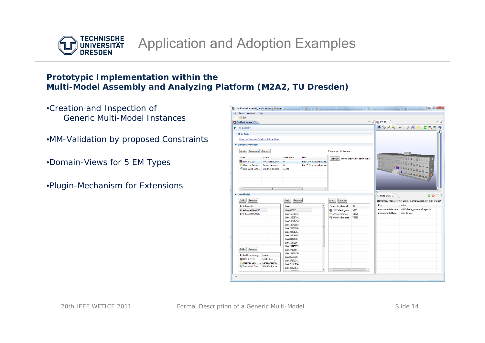

# **Prototypic Implementation within the Multi-Model Assembly and Analyzing Platform (M2A2, TU Dresden)**

- •Creation and Inspection of Generic Multi-Model Instances
- •MM-Validation by proposed Constraints
- •Domain-Views for 5 EM Types
- •Plugin-Mechanism for Extensions

| 自由日                                      |                                |                            |                                    |                                       |                 |                                                                |
|------------------------------------------|--------------------------------|----------------------------|------------------------------------|---------------------------------------|-----------------|----------------------------------------------------------------|
| FirstTest.mmaa 8                         |                                |                            |                                    |                                       | □□ 8FC3D ⊠      | $=$ $\Box$                                                     |
| Multi-Model                              |                                |                            |                                    |                                       |                 |                                                                |
|                                          |                                |                            |                                    |                                       |                 | ●※/只   戸   五郎国   之後の                                           |
| ▼ Meta-Data                              |                                |                            |                                    |                                       |                 |                                                                |
| Show the Container's Meta-Data in View   |                                |                            |                                    |                                       |                 |                                                                |
|                                          |                                |                            |                                    |                                       |                 |                                                                |
| <b>v</b> Elementary Models               |                                |                            |                                    |                                       |                 |                                                                |
| Add<br>Rename<br>Remove                  |                                |                            | <b>Plugin specific features</b>    |                                       |                 |                                                                |
| Type<br>Name                             | Data [Byte]<br>URI             |                            |                                    | View 3D Shows the IFC model in the 3I |                 |                                                                |
| <b>88 BIM IFC 2x3</b><br>HWK-Berlin me   | $\mathbf{0}$                   | file:/D:/Nutzer/sebastian/ |                                    |                                       |                 |                                                                |
| <b>M. Hesmos Sensor </b> Sensor hesmos   | $\bullet$                      | file:/D:/Nutzer/sebastian/ |                                    |                                       |                 |                                                                |
| Sara Wind Data<br><b>WindAction.sara</b> | 11308                          |                            |                                    |                                       |                 |                                                                |
|                                          |                                |                            |                                    |                                       |                 |                                                                |
|                                          |                                |                            |                                    |                                       |                 |                                                                |
|                                          |                                |                            |                                    |                                       |                 |                                                                |
|                                          |                                |                            |                                    |                                       |                 |                                                                |
|                                          |                                |                            |                                    |                                       |                 |                                                                |
| $\leftarrow$<br>m.                       |                                |                            |                                    |                                       |                 |                                                                |
| <b>v</b> Link-Models                     |                                |                            |                                    |                                       | Meta-Data 23    | $=$ $-$<br>a<br>O)                                             |
|                                          |                                |                            |                                    |                                       |                 |                                                                |
| Add<br>Remove                            | Add<br>Remove                  |                            | Add<br>Remove                      |                                       |                 | Elementary Model: 'HWK-Berlin_mehrereEtagen.ifc' (bim-ifc-2x3) |
|                                          | <b>Links</b>                   |                            | <b>Elementary Model</b><br>ID      |                                       |                 |                                                                |
| Link-Models                              |                                |                            |                                    |                                       | Key             | Value                                                          |
|                                          | Link 625865                    |                            |                                    |                                       | mmaa.model.name | HWK-Berlin_mehrereEtagen.ifc                                   |
| Link-Model 6908255                       |                                |                            | <b>&amp;</b> HWK-Berlin me<br>3536 |                                       | mmaa.model.type | bim-ifc-2x3                                                    |
| Link-Model 5520403                       | Link 16390812                  |                            | Sensor.hesmos<br>54574             |                                       |                 |                                                                |
|                                          | Link 10629744                  |                            | WindAction.sara<br>76585           |                                       |                 |                                                                |
|                                          | Link 10326754                  |                            |                                    |                                       |                 |                                                                |
|                                          | Link 18241183                  | ×                          |                                    |                                       |                 |                                                                |
|                                          | Link 26281000                  |                            |                                    |                                       |                 |                                                                |
|                                          | Link 33498361                  |                            |                                    |                                       |                 |                                                                |
|                                          | Link 30703997                  |                            |                                    |                                       |                 |                                                                |
|                                          | Link 8477020                   |                            |                                    |                                       |                 |                                                                |
|                                          | Link 1157196                   |                            |                                    |                                       |                 |                                                                |
| Remove<br>Add                            | Link 20993072                  |                            |                                    |                                       |                 |                                                                |
|                                          | Link 5712464                   |                            |                                    |                                       |                 |                                                                |
| Linked Elementary Name                   | Link 10166459                  |                            |                                    |                                       |                 |                                                                |
| <b>BB</b> BIM IFC 2x3<br>HWK-Berlin      | Link 8508748                   |                            |                                    |                                       |                 |                                                                |
| Hesmos Sensor  Sensor.hesmos             | Link 27171241                  |                            |                                    |                                       |                 |                                                                |
| Sara Wind Data  WindAction.sa            | Link 21623194<br>Link 26527631 |                            | $\leftarrow$<br>$\mathfrak{m}^-$   | $\sim$ $\sim$                         |                 |                                                                |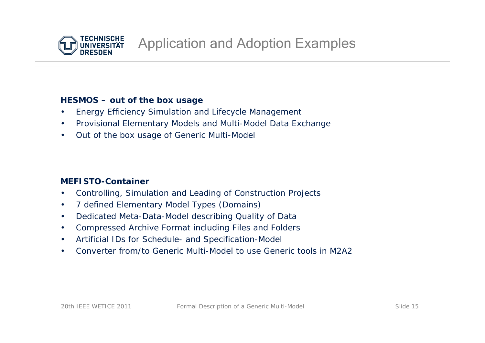

#### **HESMOS – out of the box usage**

- •Energy Efficiency Simulation and Lifecycle Management
- •Provisional Elementary Models and Multi-Model Data Exchange
- •Out of the box usage of Generic Multi-Model

# **MEFISTO-Container**

- •Controlling, Simulation and Leading of Construction Projects
- •7 defined Elementary Model Types (Domains)
- •Dedicated Meta-Data-Model describing Quality of Data
- •Compressed Archive Format including Files and Folders
- •Artificial IDs for Schedule- and Specification-Model
- •Converter from/to Generic Multi-Model to use Generic tools in M2A2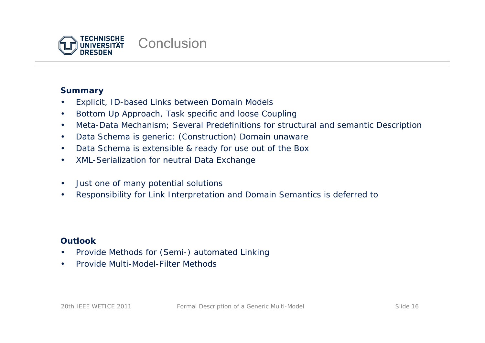

# **Summary**

- •Explicit, ID-based Links between Domain Models
- •Bottom Up Approach, Task specific and loose Coupling
- •Meta-Data Mechanism; Several Predefinitions for structural and semantic Description
- •Data Schema is generic: (Construction) Domain unaware
- •Data Schema is extensible & ready for use out of the Box
- •XML-Serialization for neutral Data Exchange
- •Just one of many potential solutions
- •Responsibility for Link Interpretation and Domain Semantics is deferred to

# **Outlook**

- •Provide Methods for (Semi-) automated Linking
- •Provide Multi-Model-Filter Methods